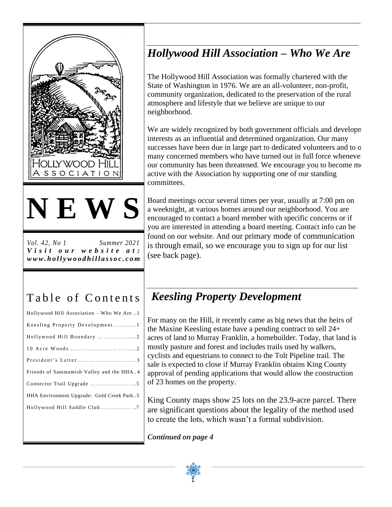



*Vol. 42, No 1 Summer 2021 V i s i t o u r w e b s i t e a t : w w w . h o l l y w o o d h i l l a s s o c . c om*

# Table of Contents

| Hollywood Hill Association - Who We Are  |
|------------------------------------------|
| Keesling Property Development1           |
|                                          |
|                                          |
|                                          |
| Friends of Sammamish Valley and the HHA4 |
|                                          |
| HHA Environment Upgrade: Gold Creek Park |
| Hollywood Hill Saddle Club7              |
|                                          |
|                                          |

# *Hollywood Hill Association – Who We Are*

The Hollywood Hill Association was formally chartered with the State of Washington in 1976. We are an all-volunteer, non-profit, community organization, dedicated to the preservation of the rural atmosphere and lifestyle that we believe are unique to our neighborhood.

We are widely recognized by both government officials and developnent interests as an influential and determined organization. Our many successes have been due in large part to dedicated volunteers and to o many concerned members who have turned out in full force whenever our community has been threatened. We encourage you to become me active with the Association by supporting one of our standing committees.

Board meetings occur several times per year, usually at 7:00 pm on a weeknight, at various homes around our neighborhood. You are encouraged to contact a board member with specific concerns or if you are interested in attending a board meeting. Contact info can be found on our website. And our primary mode of communication is through email, so we encourage you to sign up for our list (see back page).

## *Keesling Property Development*

For many on the Hill, it recently came as big news that the heirs of the Maxine Keesling estate have a pending contract to sell 24+ acres of land to Murray Franklin, a homebuilder. Today, that land is mostly pasture and forest and includes trails used by walkers, cyclists and equestrians to connect to the Tolt Pipeline trail. The sale is expected to close if Murray Franklin obtains King County approval of pending applications that would allow the construction of 23 homes on the property.

King County maps show 25 lots on the 23.9-acre parcel. There are significant questions about the legality of the method used to create the lots, which wasn't a formal subdivision.

*Continued on page 4*

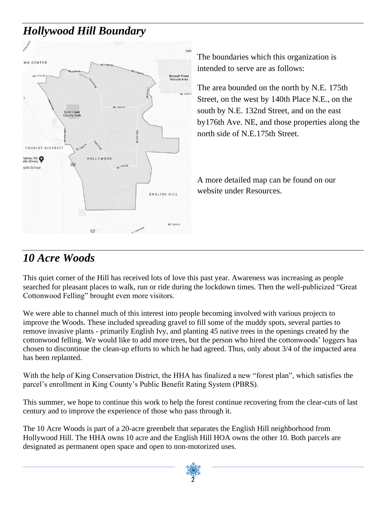## *Hollywood Hill Boundary*



The boundaries which this organization is intended to serve are as follows:

The area bounded on the north by N.E. 175th Street, on the west by 140th Place N.E., on the south by N.E. 132nd Street, and on the east by176th Ave. NE, and those properties along the north side of N.E.175th Street.

A more detailed map can be found on our website under Resources.

#### *10 Acre Woods*

This quiet corner of the Hill has received lots of love this past year. Awareness was increasing as people searched for pleasant places to walk, run or ride during the lockdown times. Then the well-publicized "Great Cottonwood Felling" brought even more visitors.

We were able to channel much of this interest into people becoming involved with various projects to improve the Woods. These included spreading gravel to fill some of the muddy spots, several parties to remove invasive plants - primarily English Ivy, and planting 45 native trees in the openings created by the cottonwood felling. We would like to add more trees, but the person who hired the cottonwoods' loggers has chosen to discontinue the clean-up efforts to which he had agreed. Thus, only about 3/4 of the impacted area has been replanted.

With the help of King Conservation District, the HHA has finalized a new "forest plan", which satisfies the parcel's enrollment in King County's Public Benefit Rating System (PBRS).

This summer, we hope to continue this work to help the forest continue recovering from the clear-cuts of last century and to improve the experience of those who pass through it.

The 10 Acre Woods is part of a 20-acre greenbelt that separates the English Hill neighborhood from Hollywood Hill. The HHA owns 10 acre and the English Hill HOA owns the other 10. Both parcels are designated as permanent open space and open to non-motorized uses.

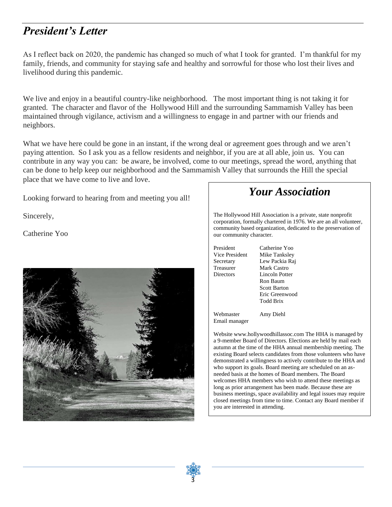### *President's Letter*

As I reflect back on 2020, the pandemic has changed so much of what I took for granted. I'm thankful for my family, friends, and community for staying safe and healthy and sorrowful for those who lost their lives and livelihood during this pandemic.

We live and enjoy in a beautiful country-like neighborhood. The most important thing is not taking it for granted. The character and flavor of the Hollywood Hill and the surrounding Sammamish Valley has been maintained through vigilance, activism and a willingness to engage in and partner with our friends and neighbors.

What we have here could be gone in an instant, if the wrong deal or agreement goes through and we aren't paying attention. So I ask you as a fellow residents and neighbor, if you are at all able, join us. You can contribute in any way you can: be aware, be involved, come to our meetings, spread the word, anything that can be done to help keep our neighborhood and the Sammamish Valley that surrounds the Hill the special place that we have come to live and love.

Looking forward to hearing from and meeting you all!

Sincerely,

Catherine Yoo



#### *Your Association*

The Hollywood Hill Association is a private, state nonprofit corporation, formally chartered in 1976. We are an all volunteer, community based organization, dedicated to the preservation of our community character.

President Catherine Yoo Vice President Mike Tanksley Secretary Lew Packia Raj Treasurer Mark Castro Directors Lincoln Potter Ron Baum Scott Barton Eric Greenwood Todd Brix

Webmaster Amy Diehl Email manager

Website www.hollywoodhillassoc.com The HHA is managed by a 9-member Board of Directors. Elections are held by mail each autumn at the time of the HHA annual membership meeting. The existing Board selects candidates from those volunteers who have demonstrated a willingness to actively contribute to the HHA and who support its goals. Board meeting are scheduled on an asneeded basis at the homes of Board members. The Board welcomes HHA members who wish to attend these meetings as long as prior arrangement has been made. Because these are business meetings, space availability and legal issues may require closed meetings from time to time. Contact any Board member if you are interested in attending.

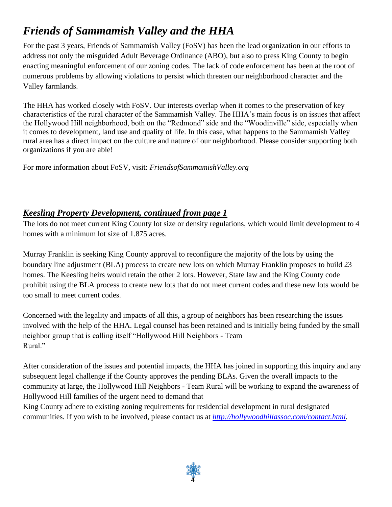# *Friends of Sammamish Valley and the HHA*

For the past 3 years, Friends of Sammamish Valley (FoSV) has been the lead organization in our efforts to address not only the misguided Adult Beverage Ordinance (ABO), but also to press King County to begin enacting meaningful enforcement of our zoning codes. The lack of code enforcement has been at the root of numerous problems by allowing violations to persist which threaten our neighborhood character and the Valley farmlands.

The HHA has worked closely with FoSV. Our interests overlap when it comes to the preservation of key characteristics of the rural character of the Sammamish Valley. The HHA's main focus is on issues that affect the Hollywood Hill neighborhood, both on the "Redmond" side and the "Woodinville" side, especially when it comes to development, land use and quality of life. In this case, what happens to the Sammamish Valley rural area has a direct impact on the culture and nature of our neighborhood. Please consider supporting both organizations if you are able!

For more information about FoSV, visit: *FriendsofSammamishValley.org*

#### *Keesling Property Development, continued from page 1*

The lots do not meet current King County lot size or density regulations, which would limit development to 4 homes with a minimum lot size of 1.875 acres.

Murray Franklin is seeking King County approval to reconfigure the majority of the lots by using the boundary line adjustment (BLA) process to create new lots on which Murray Franklin proposes to build 23 homes. The Keesling heirs would retain the other 2 lots. However, State law and the King County code prohibit using the BLA process to create new lots that do not meet current codes and these new lots would be too small to meet current codes.

Concerned with the legality and impacts of all this, a group of neighbors has been researching the issues involved with the help of the HHA. Legal counsel has been retained and is initially being funded by the small neighbor group that is calling itself "Hollywood Hill Neighbors - Team Rural."

After consideration of the issues and potential impacts, the HHA has joined in supporting this inquiry and any subsequent legal challenge if the County approves the pending BLAs. Given the overall impacts to the community at large, the Hollywood Hill Neighbors - Team Rural will be working to expand the awareness of Hollywood Hill families of the urgent need to demand that

King County adhere to existing zoning requirements for residential development in rural designated communities. If you wish to be involved, please contact us at *[http://hollywoodhillassoc.com/contact.html.](about:blank)*

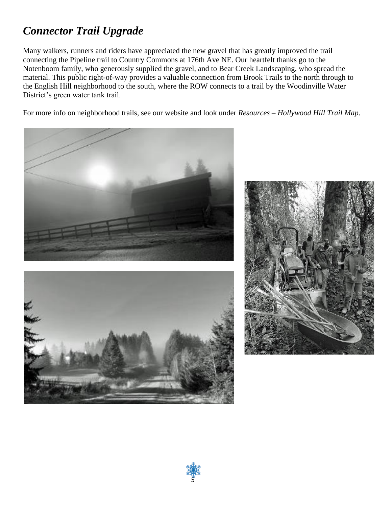# *Connector Trail Upgrade*

Many walkers, runners and riders have appreciated the new gravel that has greatly improved the trail connecting the Pipeline trail to Country Commons at 176th Ave NE. Our heartfelt thanks go to the Notenboom family, who generously supplied the gravel, and to Bear Creek Landscaping, who spread the material. This public right-of-way provides a valuable connection from Brook Trails to the north through to the English Hill neighborhood to the south, where the ROW connects to a trail by the Woodinville Water District's green water tank trail.

For more info on neighborhood trails, see our website and look under *Resources – Hollywood Hill Trail Map*.







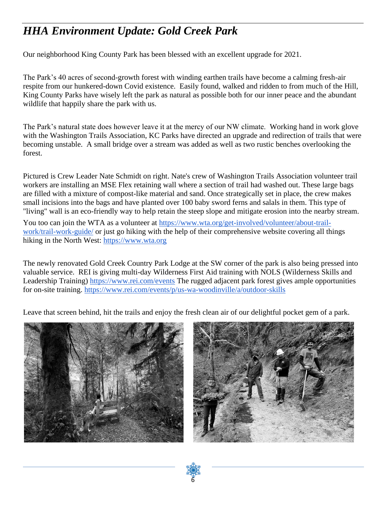## *HHA Environment Update: Gold Creek Park*

Our neighborhood King County Park has been blessed with an excellent upgrade for 2021.

The Park's 40 acres of second-growth forest with winding earthen trails have become a calming fresh-air respite from our hunkered-down Covid existence. Easily found, walked and ridden to from much of the Hill, King County Parks have wisely left the park as natural as possible both for our inner peace and the abundant wildlife that happily share the park with us.

The Park's natural state does however leave it at the mercy of our NW climate. Working hand in work glove with the Washington Trails Association, KC Parks have directed an upgrade and redirection of trails that were becoming unstable. A small bridge over a stream was added as well as two rustic benches overlooking the forest.

Pictured is Crew Leader Nate Schmidt on right. Nate's crew of Washington Trails Association volunteer trail workers are installing an MSE Flex retaining wall where a section of trail had washed out. These large bags are filled with a mixture of compost-like material and sand. Once strategically set in place, the crew makes small incisions into the bags and have planted over 100 baby sword ferns and salals in them. This type of "living" wall is an eco-friendly way to help retain the steep slope and mitigate erosion into the nearby stream.

You too can join the WTA as a volunteer at [https://www.wta.org/get-involved/volunteer/about-trail](about:blank)[work/trail-work-guide/](about:blank) or just go hiking with the help of their comprehensive website covering all things hiking in the North West: [https://www.wta.org](about:blank)

The newly renovated Gold Creek Country Park Lodge at the SW corner of the park is also being pressed into valuable service. REI is giving multi-day Wilderness First Aid training with NOLS (Wilderness Skills and Leadership Training) [https://www.rei.com/events](about:blank) The rugged adjacent park forest gives ample opportunities for on-site training. [https://www.rei.com/events/p/us-wa-woodinville/a/outdoor-skills](about:blank)

Leave that screen behind, hit the trails and enjoy the fresh clean air of our delightful pocket gem of a park.





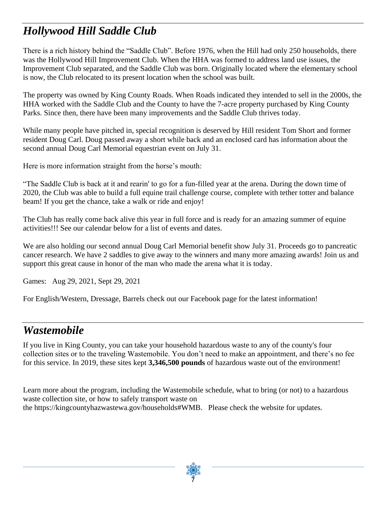# *Hollywood Hill Saddle Club*

There is a rich history behind the "Saddle Club". Before 1976, when the Hill had only 250 households, there was the Hollywood Hill Improvement Club. When the HHA was formed to address land use issues, the Improvement Club separated, and the Saddle Club was born. Originally located where the elementary school is now, the Club relocated to its present location when the school was built.

The property was owned by King County Roads. When Roads indicated they intended to sell in the 2000s, the HHA worked with the Saddle Club and the County to have the 7-acre property purchased by King County Parks. Since then, there have been many improvements and the Saddle Club thrives today.

While many people have pitched in, special recognition is deserved by Hill resident Tom Short and former resident Doug Carl. Doug passed away a short while back and an enclosed card has information about the second annual Doug Carl Memorial equestrian event on July 31.

Here is more information straight from the horse's mouth:

"The Saddle Club is back at it and rearin' to go for a fun-filled year at the arena. During the down time of 2020, the Club was able to build a full equine trail challenge course, complete with tether totter and balance beam! If you get the chance, take a walk or ride and enjoy!

The Club has really come back alive this year in full force and is ready for an amazing summer of equine activities!!! See our calendar below for a list of events and dates.

We are also holding our second annual Doug Carl Memorial benefit show July 31. Proceeds go to pancreatic cancer research. We have 2 saddles to give away to the winners and many more amazing awards! Join us and support this great cause in honor of the man who made the arena what it is today.

Games: Aug 29, 2021, Sept 29, 2021

For English/Western, Dressage, Barrels check out our Facebook page for the latest information!

#### *Wastemobile*

If you live in King County, you can take your household hazardous waste to any of the county's four collection sites or to the traveling Wastemobile. You don't need to make an appointment, and there's no fee for this service. In 2019, these sites kept **3,346,500 pounds** of hazardous waste out of the environment!

Learn more about the program, including the Wastemobile schedule, what to bring (or not) to a hazardous waste collection site, or how to safely transport waste on the https://kingcountyhazwastewa.gov/households#WMB. Please check the website for updates.